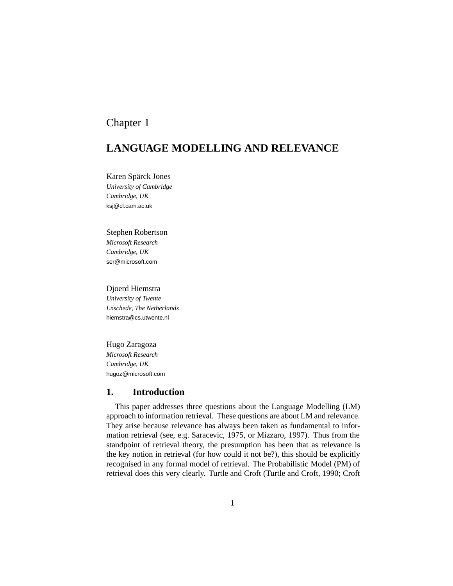# Chapter 1

# **LANGUAGE MODELLING AND RELEVANCE**

#### Karen Spärck Jones

*University of Cambridge Cambridge, UK* ksj@cl.cam.ac.uk

#### Stephen Robertson

*Microsoft Research Cambridge, UK* ser@microsoft.com

#### Djoerd Hiemstra

*University of Twente Enschede, The Netherlands* hiemstra@cs.utwente.nl

Hugo Zaragoza *Microsoft Research Cambridge, UK* hugoz@microsoft.com

# **1. Introduction**

This paper addresses three questions about the Language Modelling (LM) approach to information retrieval. These questions are about LM and relevance. They arise because relevance has always been taken as fundamental to information retrieval (see, e.g. Saracevic, 1975, or Mizzaro, 1997). Thus from the standpoint of retrieval theory, the presumption has been that as relevance is the key notion in retrieval (for how could it not be?), this should be explicitly recognised in any formal model of retrieval. The Probabilistic Model (PM) of retrieval does this very clearly. Turtle and Croft (Turtle and Croft, 1990; Croft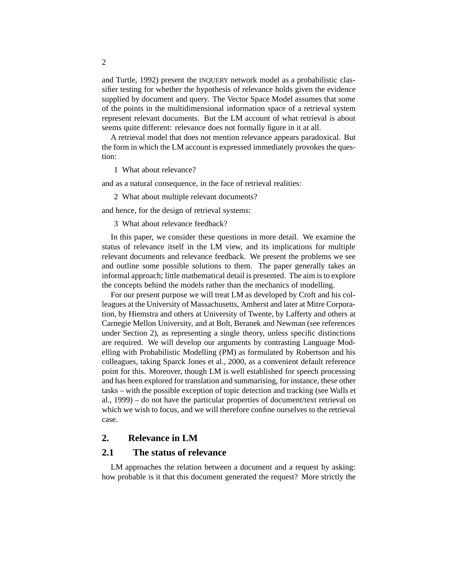and Turtle, 1992) present the INQUERY network model as a probabilistic classifier testing for whether the hypothesis of relevance holds given the evidence supplied by document and query. The Vector Space Model assumes that some of the points in the multidimensional information space of a retrieval system represent relevant documents. But the LM account of what retrieval is about seems quite different: relevance does not formally figure in it at all.

A retrieval model that does not mention relevance appears paradoxical. But the form in which the LM account is expressed immediately provokes the question:

1 What about relevance?

and as a natural consequence, in the face of retrieval realities:

2 What about multiple relevant documents?

and hence, for the design of retrieval systems:

3 What about relevance feedback?

In this paper, we consider these questions in more detail. We examine the status of relevance itself in the LM view, and its implications for multiple relevant documents and relevance feedback. We present the problems we see and outline some possible solutions to them. The paper generally takes an informal approach; little mathematical detail is presented. The aim is to explore the concepts behind the models rather than the mechanics of modelling.

For our present purpose we will treat LM as developed by Croft and his colleagues at the University of Massachusetts, Amherst and later at Mitre Corporation, by Hiemstra and others at University of Twente, by Lafferty and others at Carnegie Mellon University, and at Bolt, Beranek and Newman (see references under Section 2), as representing a single theory, unless specific distinctions are required. We will develop our arguments by contrasting Language Modelling with Probabilistic Modelling (PM) as formulated by Robertson and his colleagues, taking Sparck Jones et al., 2000, as a convenient default reference point for this. Moreover, though LM is well established for speech processing and has been explored for translation and summarising, for instance, these other tasks – with the possible exception of topic detection and tracking (see Walls et al., 1999) – do not have the particular properties of document/text retrieval on which we wish to focus, and we will therefore confine ourselves to the retrieval case.

#### **2. Relevance in LM**

# **2.1 The status of relevance**

LM approaches the relation between a document and a request by asking: how probable is it that this document generated the request? More strictly the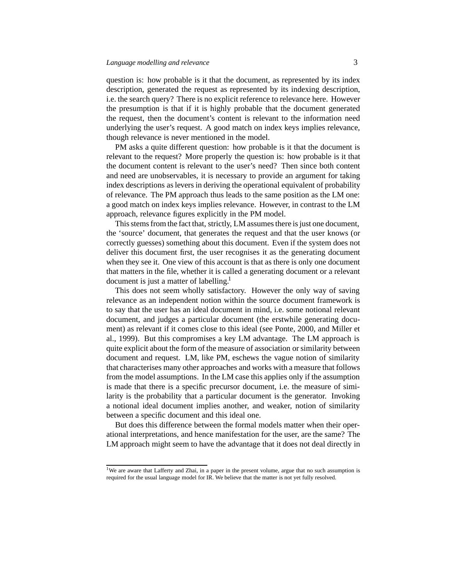question is: how probable is it that the document, as represented by its index description, generated the request as represented by its indexing description, i.e. the search query? There is no explicit reference to relevance here. However the presumption is that if it is highly probable that the document generated the request, then the document's content is relevant to the information need underlying the user's request. A good match on index keys implies relevance, though relevance is never mentioned in the model.

PM asks a quite different question: how probable is it that the document is relevant to the request? More properly the question is: how probable is it that the document content is relevant to the user's need? Then since both content and need are unobservables, it is necessary to provide an argument for taking index descriptions as levers in deriving the operational equivalent of probability of relevance. The PM approach thus leads to the same position as the LM one: a good match on index keys implies relevance. However, in contrast to the LM approach, relevance figures explicitly in the PM model.

This stems from the fact that, strictly, LM assumes there is just one document, the 'source' document, that generates the request and that the user knows (or correctly guesses) something about this document. Even if the system does not deliver this document first, the user recognises it as the generating document when they see it. One view of this account is that as there is only one document that matters in the file, whether it is called a generating document or a relevant document is just a matter of labelling.<sup>1</sup>

This does not seem wholly satisfactory. However the only way of saving relevance as an independent notion within the source document framework is to say that the user has an ideal document in mind, i.e. some notional relevant document, and judges a particular document (the erstwhile generating document) as relevant if it comes close to this ideal (see Ponte, 2000, and Miller et al., 1999). But this compromises a key LM advantage. The LM approach is quite explicit about the form of the measure of association or similarity between document and request. LM, like PM, eschews the vague notion of similarity that characterises many other approaches and works with a measure that follows from the model assumptions. In the LM case this applies only if the assumption is made that there is a specific precursor document, i.e. the measure of similarity is the probability that a particular document is the generator. Invoking a notional ideal document implies another, and weaker, notion of similarity between a specific document and this ideal one.

But does this difference between the formal models matter when their operational interpretations, and hence manifestation for the user, are the same? The LM approach might seem to have the advantage that it does not deal directly in

<sup>&</sup>lt;sup>1</sup>We are aware that Lafferty and Zhai, in a paper in the present volume, argue that no such assumption is required for the usual language model for IR. We believe that the matter is not yet fully resolved.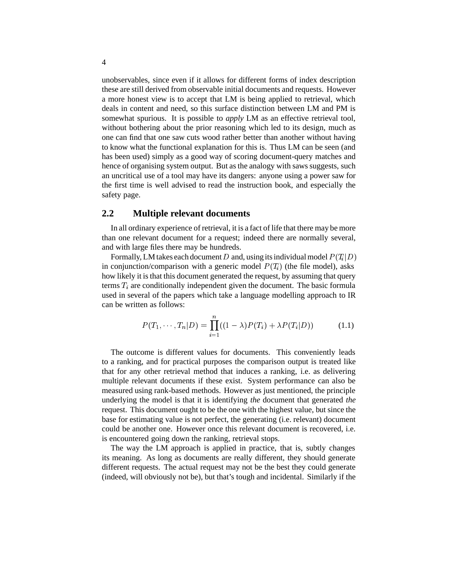unobservables, since even if it allows for different forms of index description these are still derived from observable initial documents and requests. However a more honest view is to accept that LM is being applied to retrieval, which deals in content and need, so this surface distinction between LM and PM is somewhat spurious. It is possible to *apply* LM as an effective retrieval tool, without bothering about the prior reasoning which led to its design, much as one can find that one saw cuts wood rather better than another without having to know what the functional explanation for this is. Thus LM can be seen (and has been used) simply as a good way of scoring document-query matches and hence of organising system output. But as the analogy with saws suggests, such an uncritical use of a tool may have its dangers: anyone using a power saw for the first time is well advised to read the instruction book, and especially the safety page.

### **2.2 Multiple relevant documents**

In all ordinary experience of retrieval, it is a fact of life that there may be more than one relevant document for a request; indeed there are normally several, and with large files there may be hundreds.

Formally, LM takes each document  $D$  and, using its individual model  $P(T_i|D)$ in conjunction/comparison with a generic model  $P(T_i)$  (the file model), asks how likely it is that this document generated the request, by assuming that query terms  $T_i$  are conditionally independent given the document. The basic formula used in several of the papers which take a language modelling approach to IR can be written as follows:

$$
P(T_1, \cdots, T_n | D) = \prod_{i=1}^n ((1 - \lambda)P(T_i) + \lambda P(T_i | D))
$$
 (1.1)

The outcome is different values for documents. This conveniently leads to a ranking, and for practical purposes the comparison output is treated like that for any other retrieval method that induces a ranking, i.e. as delivering multiple relevant documents if these exist. System performance can also be measured using rank-based methods. However as just mentioned, the principle underlying the model is that it is identifying *the* document that generated *the* request. This document ought to be the one with the highest value, but since the base for estimating value is not perfect, the generating (i.e. relevant) document could be another one. However once this relevant document is recovered, i.e. is encountered going down the ranking, retrieval stops.

The way the LM approach is applied in practice, that is, subtly changes its meaning. As long as documents are really different, they should generate different requests. The actual request may not be the best they could generate (indeed, will obviously not be), but that's tough and incidental. Similarly if the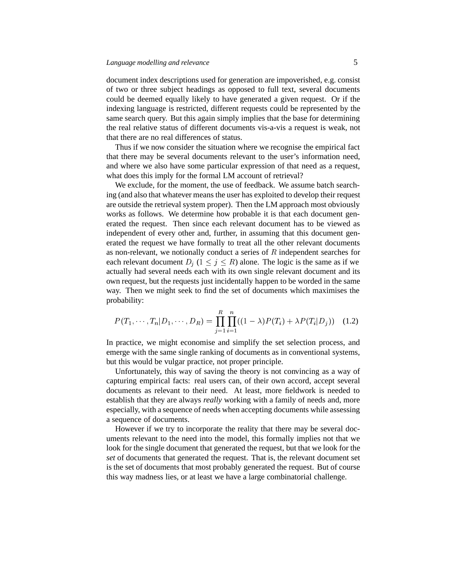document index descriptions used for generation are impoverished, e.g. consist of two or three subject headings as opposed to full text, several documents could be deemed equally likely to have generated a given request. Or if the indexing language is restricted, different requests could be represented by the same search query. But this again simply implies that the base for determining the real relative status of different documents vis-a-vis a request is weak, not that there are no real differences of status.

Thus if we now consider the situation where we recognise the empirical fact that there may be several documents relevant to the user's information need, and where we also have some particular expression of that need as a request, what does this imply for the formal LM account of retrieval?

We exclude, for the moment, the use of feedback. We assume batch searching (and also that whatever means the user has exploited to develop their request are outside the retrieval system proper). Then the LM approach most obviously works as follows. We determine how probable it is that each document generated the request. Then since each relevant document has to be viewed as independent of every other and, further, in assuming that this document generated the request we have formally to treat all the other relevant documents as non-relevant, we notionally conduct a series of  $R$  independent searches for each relevant document  $D_i$  ( $1 \leq j \leq R$ ) alone. The logic is the same as if we actually had several needs each with its own single relevant document and its own request, but the requests just incidentally happen to be worded in the same way. Then we might seek to find the set of documents which maximises the probability:

$$
P(T_1, \cdots, T_n | D_1, \cdots, D_R) = \prod_{j=1}^R \prod_{i=1}^n ((1 - \lambda) P(T_i) + \lambda P(T_i | D_j)) \quad (1.2)
$$

In practice, we might economise and simplify the set selection process, and emerge with the same single ranking of documents as in conventional systems, but this would be vulgar practice, not proper principle.

Unfortunately, this way of saving the theory is not convincing as a way of capturing empirical facts: real users can, of their own accord, accept several documents as relevant to their need. At least, more fieldwork is needed to establish that they are always *really* working with a family of needs and, more especially, with a sequence of needs when accepting documents while assessing a sequence of documents.

However if we try to incorporate the reality that there may be several documents relevant to the need into the model, this formally implies not that we look for the single document that generated the request, but that we look for the *set* of documents that generated the request. That is, the relevant document set is the set of documents that most probably generated the request. But of course this way madness lies, or at least we have a large combinatorial challenge.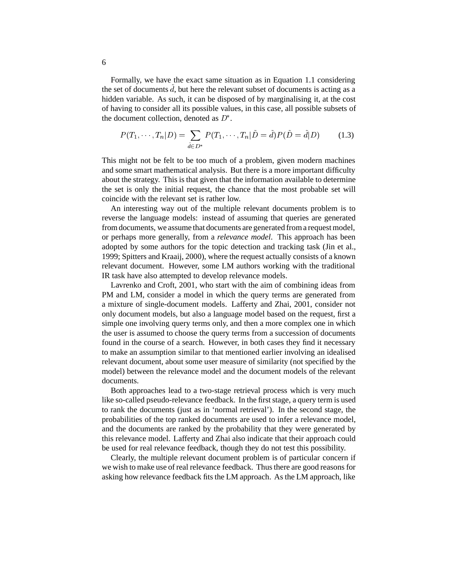Formally, we have the exact same situation as in Equation 1.1 considering the set of documents  $\tilde{d}$ , but here the relevant subset of documents is acting as a hidden variable. As such, it can be disposed of by marginalising it, at the cost of having to consider all its possible values, in this case, all possible subsets of the document collection, denoted as  $D^*$ .

$$
P(T_1, \cdots, T_n | D) = \sum_{\tilde{d} \in D^*} P(T_1, \cdots, T_n | \tilde{D} = \tilde{d}) P(\tilde{D} = \tilde{d} | D)
$$
(1.3)

This might not be felt to be too much of a problem, given modern machines and some smart mathematical analysis. But there is a more important difficulty about the strategy. This is that given that the information available to determine the set is only the initial request, the chance that the most probable set will coincide with the relevant set is rather low.

An interesting way out of the multiple relevant documents problem is to reverse the language models: instead of assuming that queries are generated from documents, we assume that documents are generated from a request model, or perhaps more generally, from a *relevance model*. This approach has been adopted by some authors for the topic detection and tracking task (Jin et al., 1999; Spitters and Kraaij, 2000), where the request actually consists of a known relevant document. However, some LM authors working with the traditional IR task have also attempted to develop relevance models.

Lavrenko and Croft, 2001, who start with the aim of combining ideas from PM and LM, consider a model in which the query terms are generated from a mixture of single-document models. Lafferty and Zhai, 2001, consider not only document models, but also a language model based on the request, first a simple one involving query terms only, and then a more complex one in which the user is assumed to choose the query terms from a succession of documents found in the course of a search. However, in both cases they find it necessary to make an assumption similar to that mentioned earlier involving an idealised relevant document, about some user measure of similarity (not specified by the model) between the relevance model and the document models of the relevant documents.

Both approaches lead to a two-stage retrieval process which is very much like so-called pseudo-relevance feedback. In the first stage, a query term is used to rank the documents (just as in 'normal retrieval'). In the second stage, the probabilities of the top ranked documents are used to infer a relevance model, and the documents are ranked by the probability that they were generated by this relevance model. Lafferty and Zhai also indicate that their approach could be used for real relevance feedback, though they do not test this possibility.

Clearly, the multiple relevant document problem is of particular concern if we wish to make use of real relevance feedback. Thus there are good reasons for asking how relevance feedback fits the LM approach. As the LM approach, like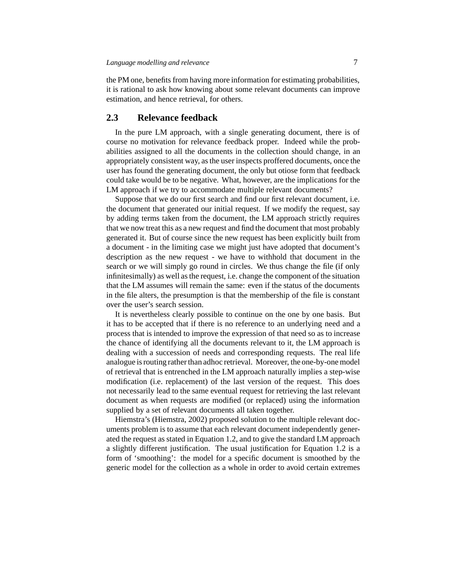the PM one, benefits from having more information for estimating probabilities, it is rational to ask how knowing about some relevant documents can improve estimation, and hence retrieval, for others.

# **2.3 Relevance feedback**

In the pure LM approach, with a single generating document, there is of course no motivation for relevance feedback proper. Indeed while the probabilities assigned to all the documents in the collection should change, in an appropriately consistent way, as the user inspects proffered documents, once the user has found the generating document, the only but otiose form that feedback could take would be to be negative. What, however, are the implications for the LM approach if we try to accommodate multiple relevant documents?

Suppose that we do our first search and find our first relevant document, i.e. the document that generated our initial request. If we modify the request, say by adding terms taken from the document, the LM approach strictly requires that we now treat this as a new request and find the document that most probably generated it. But of course since the new request has been explicitly built from a document - in the limiting case we might just have adopted that document's description as the new request - we have to withhold that document in the search or we will simply go round in circles. We thus change the file (if only infinitesimally) as well as the request, i.e. change the component of the situation that the LM assumes will remain the same: even if the status of the documents in the file alters, the presumption is that the membership of the file is constant over the user's search session.

It is nevertheless clearly possible to continue on the one by one basis. But it has to be accepted that if there is no reference to an underlying need and a process that is intended to improve the expression of that need so as to increase the chance of identifying all the documents relevant to it, the LM approach is dealing with a succession of needs and corresponding requests. The real life analogue is routing rather than adhoc retrieval. Moreover, the one-by-one model of retrieval that is entrenched in the LM approach naturally implies a step-wise modification (i.e. replacement) of the last version of the request. This does not necessarily lead to the same eventual request for retrieving the last relevant document as when requests are modified (or replaced) using the information supplied by a set of relevant documents all taken together.

Hiemstra's (Hiemstra, 2002) proposed solution to the multiple relevant documents problem is to assume that each relevant document independently generated the request as stated in Equation 1.2, and to give the standard LM approach a slightly different justification. The usual justification for Equation 1.2 is a form of 'smoothing': the model for a specific document is smoothed by the generic model for the collection as a whole in order to avoid certain extremes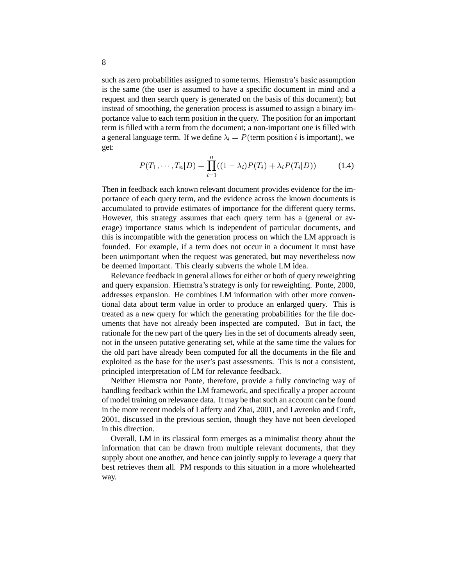such as zero probabilities assigned to some terms. Hiemstra's basic assumption is the same (the user is assumed to have a specific document in mind and a request and then search query is generated on the basis of this document); but instead of smoothing, the generation process is assumed to assign a binary importance value to each term position in the query. The position for an important term is filled with a term from the document; a non-important one is filled with a general language term. If we define  $\lambda_i = P$  (term position i is important), we get:

$$
P(T_1, \cdots, T_n | D) = \prod_{i=1}^n ((1 - \lambda_i) P(T_i) + \lambda_i P(T_i | D))
$$
 (1.4)

Then in feedback each known relevant document provides evidence for the importance of each query term, and the evidence across the known documents is accumulated to provide estimates of importance for the different query terms. However, this strategy assumes that each query term has a (general or average) importance status which is independent of particular documents, and this is incompatible with the generation process on which the LM approach is founded. For example, if a term does not occur in a document it must have been *un*important when the request was generated, but may nevertheless now be deemed important. This clearly subverts the whole LM idea.

Relevance feedback in general allows for either or both of query reweighting and query expansion. Hiemstra's strategy is only for reweighting. Ponte, 2000, addresses expansion. He combines LM information with other more conventional data about term value in order to produce an enlarged query. This is treated as a new query for which the generating probabilities for the file documents that have not already been inspected are computed. But in fact, the rationale for the new part of the query lies in the set of documents already seen, not in the unseen putative generating set, while at the same time the values for the old part have already been computed for all the documents in the file and exploited as the base for the user's past assessments. This is not a consistent, principled interpretation of LM for relevance feedback.

Neither Hiemstra nor Ponte, therefore, provide a fully convincing way of handling feedback within the LM framework, and specifically a proper account of model training on relevance data. It may be that such an account can be found in the more recent models of Lafferty and Zhai, 2001, and Lavrenko and Croft, 2001, discussed in the previous section, though they have not been developed in this direction.

Overall, LM in its classical form emerges as a minimalist theory about the information that can be drawn from multiple relevant documents, that they supply about one another, and hence can jointly supply to leverage a query that best retrieves them all. PM responds to this situation in a more wholehearted way.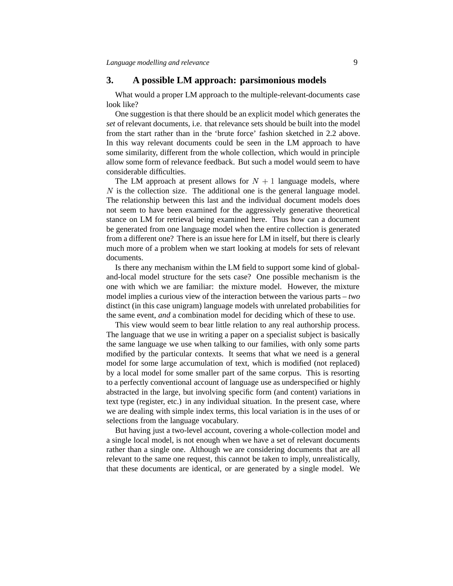### **3. A possible LM approach: parsimonious models**

What would a proper LM approach to the multiple-relevant-documents case look like?

One suggestion is that there should be an explicit model which generates the *set* of relevant documents, i.e. that relevance sets should be built into the model from the start rather than in the 'brute force' fashion sketched in 2.2 above. In this way relevant documents could be seen in the LM approach to have some similarity, different from the whole collection, which would in principle allow some form of relevance feedback. But such a model would seem to have considerable difficulties.

The LM approach at present allows for  $N + 1$  language models, where  $N$  is the collection size. The additional one is the general language model. The relationship between this last and the individual document models does not seem to have been examined for the aggressively generative theoretical stance on LM for retrieval being examined here. Thus how can a document be generated from one language model when the entire collection is generated from a different one? There is an issue here for LM in itself, but there is clearly much more of a problem when we start looking at models for sets of relevant documents.

Is there any mechanism within the LM field to support some kind of globaland-local model structure for the sets case? One possible mechanism is the one with which we are familiar: the mixture model. However, the mixture model implies a curious view of the interaction between the various parts – *two* distinct (in this case unigram) language models with unrelated probabilities for the same event, *and* a combination model for deciding which of these to use.

This view would seem to bear little relation to any real authorship process. The language that we use in writing a paper on a specialist subject is basically the same language we use when talking to our families, with only some parts modified by the particular contexts. It seems that what we need is a general model for some large accumulation of text, which is modified (not replaced) by a local model for some smaller part of the same corpus. This is resorting to a perfectly conventional account of language use as underspecified or highly abstracted in the large, but involving specific form (and content) variations in text type (register, etc.) in any individual situation. In the present case, where we are dealing with simple index terms, this local variation is in the uses of or selections from the language vocabulary.

But having just a two-level account, covering a whole-collection model and a single local model, is not enough when we have a set of relevant documents rather than a single one. Although we are considering documents that are all relevant to the same one request, this cannot be taken to imply, unrealistically, that these documents are identical, or are generated by a single model. We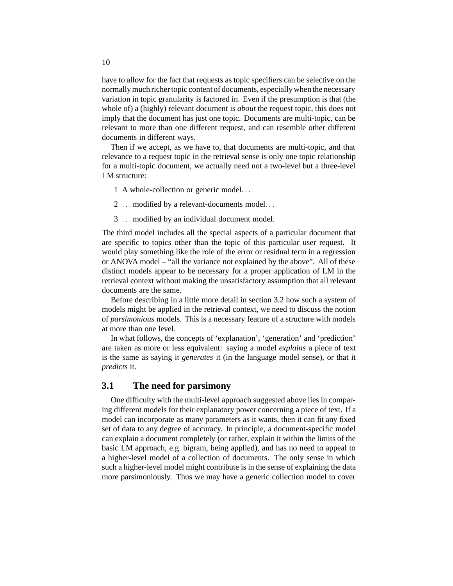have to allow for the fact that requests as topic specifiers can be selective on the normally much richer topic content of documents, especially when the necessary variation in topic granularity is factored in. Even if the presumption is that (the whole of) a (highly) relevant document is *about* the request topic, this does not imply that the document has just one topic. Documents are multi-topic, can be relevant to more than one different request, and can resemble other different documents in different ways.

Then if we accept, as we have to, that documents are multi-topic, and that relevance to a request topic in the retrieval sense is only one topic relationship for a multi-topic document, we actually need not a two-level but a three-level LM structure:

1 A whole-collection or generic model

2 ... modified by a relevant-documents model...

3 modified by an individual document model.

The third model includes all the special aspects of a particular document that are specific to topics other than the topic of this particular user request. It would play something like the role of the error or residual term in a regression or ANOVA model – "all the variance not explained by the above". All of these distinct models appear to be necessary for a proper application of LM in the retrieval context without making the unsatisfactory assumption that all relevant documents are the same.

Before describing in a little more detail in section 3.2 how such a system of models might be applied in the retrieval context, we need to discuss the notion of *parsimonious* models. This is a necessary feature of a structure with models at more than one level.

In what follows, the concepts of 'explanation', 'generation' and 'prediction' are taken as more or less equivalent: saying a model *explains* a piece of text is the same as saying it *generates* it (in the language model sense), or that it *predicts* it.

### **3.1 The need for parsimony**

One difficulty with the multi-level approach suggested above lies in comparing different models for their explanatory power concerning a piece of text. If a model can incorporate as many parameters as it wants, then it can fit any fixed set of data to any degree of accuracy. In principle, a document-specific model can explain a document completely (or rather, explain it within the limits of the basic LM approach, e.g. bigram, being applied), and has no need to appeal to a higher-level model of a collection of documents. The only sense in which such a higher-level model might contribute is in the sense of explaining the data more parsimoniously. Thus we may have a generic collection model to cover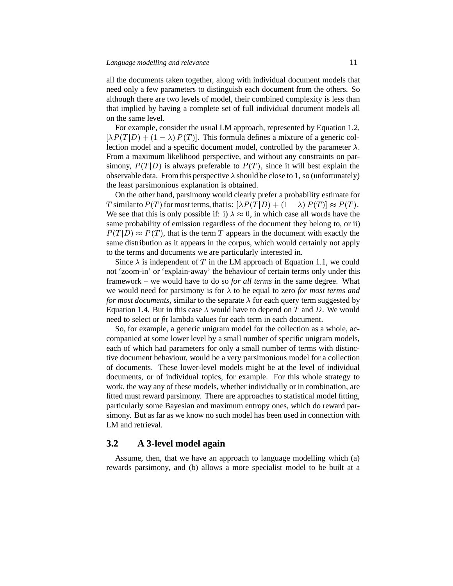all the documents taken together, along with individual document models that need only a few parameters to distinguish each document from the others. So although there are two levels of model, their combined complexity is less than that implied by having a complete set of full individual document models all on the same level.

For example, consider the usual LM approach, represented by Equation 1.2,  $[\lambda P(T|D) + (1 - \lambda) P(T)]$ . This formula defines a mixture of a generic collection model and a specific document model, controlled by the parameter  $\lambda$ . From a maximum likelihood perspective, and without any constraints on parsimony,  $P(T|D)$  is always preferable to  $P(T)$ , since it will best explain the observable data. From this perspective  $\lambda$  should be close to 1, so (unfortunately) the least parsimonious explanation is obtained.

On the other hand, parsimony would clearly prefer a probability estimate for  $T$  similar to  $P(T)$  for most terms, that is:  $\left[ \lambda P(T|D) + (1-\lambda) \, P(T) \right] \approx P(T).$ We see that this is only possible if: i)  $\lambda \approx 0$ , in which case all words have the same probability of emission regardless of the document they belong to, or ii)  $P(T|D) \approx P(T)$ , that is the term T appears in the document with exactly the same distribution as it appears in the corpus, which would certainly not apply to the terms and documents we are particularly interested in.

Since  $\lambda$  is independent of T in the LM approach of Equation 1.1, we could not 'zoom-in' or 'explain-away' the behaviour of certain terms only under this framework – we would have to do so *for all terms* in the same degree. What we would need for parsimony is for  $\lambda$  to be equal to zero *for most terms and for most documents*, similar to the separate  $\lambda$  for each query term suggested by Equation 1.4. But in this case  $\lambda$  would have to depend on T and D. We would need to select or *fit* lambda values for each term in each document.

So, for example, a generic unigram model for the collection as a whole, accompanied at some lower level by a small number of specific unigram models, each of which had parameters for only a small number of terms with distinctive document behaviour, would be a very parsimonious model for a collection of documents. These lower-level models might be at the level of individual documents, or of individual topics, for example. For this whole strategy to work, the way any of these models, whether individually or in combination, are fitted must reward parsimony. There are approaches to statistical model fitting, particularly some Bayesian and maximum entropy ones, which do reward parsimony. But as far as we know no such model has been used in connection with LM and retrieval.

# **3.2 A 3-level model again**

Assume, then, that we have an approach to language modelling which (a) rewards parsimony, and (b) allows a more specialist model to be built at a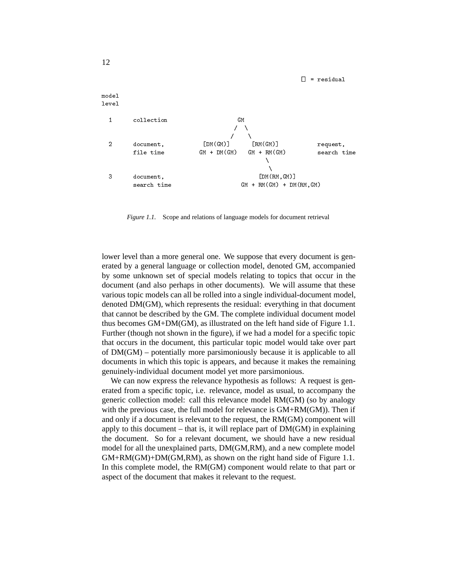

*Figure 1.1.* Scope and relations of language models for document retrieval

lower level than a more general one. We suppose that every document is generated by a general language or collection model, denoted GM, accompanied by some unknown set of special models relating to topics that occur in the document (and also perhaps in other documents). We will assume that these various topic models can all be rolled into a single individual-document model, denoted DM(GM), which represents the residual: everything in that document that cannot be described by the GM. The complete individual document model thus becomes GM+DM(GM), as illustrated on the left hand side of Figure 1.1. Further (though not shown in the figure), if we had a model for a specific topic that occurs in the document, this particular topic model would take over part of DM(GM) – potentially more parsimoniously because it is applicable to all documents in which this topic is appears, and because it makes the remaining genuinely-individual document model yet more parsimonious.

We can now express the relevance hypothesis as follows: A request is generated from a specific topic, i.e. relevance, model as usual, to accompany the generic collection model: call this relevance model RM(GM) (so by analogy with the previous case, the full model for relevance is  $GM+RM(GM)$ . Then if and only if a document is relevant to the request, the RM(GM) component will apply to this document – that is, it will replace part of  $DM(GM)$  in explaining the document. So for a relevant document, we should have a new residual model for all the unexplained parts, DM(GM,RM), and a new complete model GM+RM(GM)+DM(GM,RM), as shown on the right hand side of Figure 1.1. In this complete model, the RM(GM) component would relate to that part or aspect of the document that makes it relevant to the request.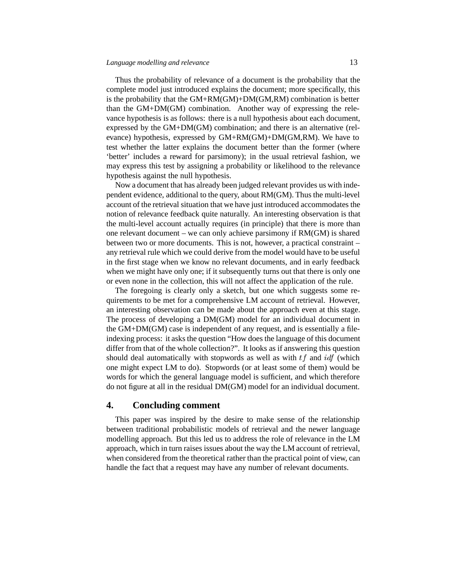Thus the probability of relevance of a document is the probability that the complete model just introduced explains the document; more specifically, this is the probability that the GM+RM(GM)+DM(GM,RM) combination is better than the GM+DM(GM) combination. Another way of expressing the relevance hypothesis is as follows: there is a null hypothesis about each document, expressed by the GM+DM(GM) combination; and there is an alternative (relevance) hypothesis, expressed by GM+RM(GM)+DM(GM,RM). We have to test whether the latter explains the document better than the former (where 'better' includes a reward for parsimony); in the usual retrieval fashion, we may express this test by assigning a probability or likelihood to the relevance hypothesis against the null hypothesis.

Now a document that has already been judged relevant provides us with independent evidence, additional to the query, about RM(GM). Thus the multi-level account of the retrieval situation that we have just introduced accommodates the notion of relevance feedback quite naturally. An interesting observation is that the multi-level account actually requires (in principle) that there is more than one relevant document – we can only achieve parsimony if RM(GM) is shared between two or more documents. This is not, however, a practical constraint – any retrieval rule which we could derive from the model would have to be useful in the first stage when we know no relevant documents, and in early feedback when we might have only one; if it subsequently turns out that there is only one or even none in the collection, this will not affect the application of the rule.

The foregoing is clearly only a sketch, but one which suggests some requirements to be met for a comprehensive LM account of retrieval. However, an interesting observation can be made about the approach even at this stage. The process of developing a DM(GM) model for an individual document in the GM+DM(GM) case is independent of any request, and is essentially a fileindexing process: it asks the question "How does the language of this document differ from that of the whole collection?". It looks as if answering this question should deal automatically with stopwords as well as with  $tf$  and  $idf$  (which one might expect LM to do). Stopwords (or at least some of them) would be words for which the general language model is sufficient, and which therefore do not figure at all in the residual DM(GM) model for an individual document.

#### **4. Concluding comment**

This paper was inspired by the desire to make sense of the relationship between traditional probabilistic models of retrieval and the newer language modelling approach. But this led us to address the role of relevance in the LM approach, which in turn raises issues about the way the LM account of retrieval, when considered from the theoretical rather than the practical point of view, can handle the fact that a request may have any number of relevant documents.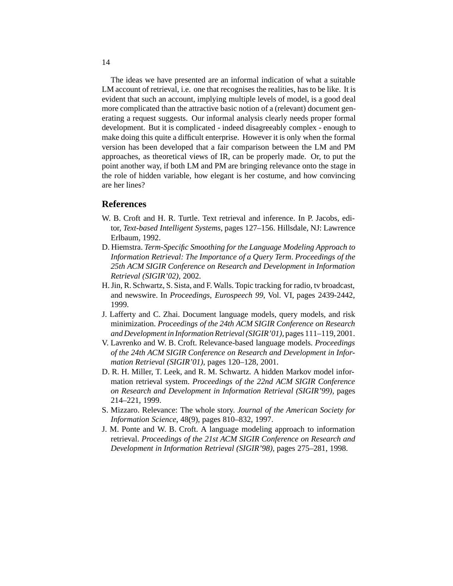The ideas we have presented are an informal indication of what a suitable LM account of retrieval, i.e. one that recognises the realities, has to be like. It is evident that such an account, implying multiple levels of model, is a good deal more complicated than the attractive basic notion of a (relevant) document generating a request suggests. Our informal analysis clearly needs proper formal development. But it is complicated - indeed disagreeably complex - enough to make doing this quite a difficult enterprise. However it is only when the formal version has been developed that a fair comparison between the LM and PM approaches, as theoretical views of IR, can be properly made. Or, to put the point another way, if both LM and PM are bringing relevance onto the stage in the role of hidden variable, how elegant is her costume, and how convincing are her lines?

#### **References**

- W. B. Croft and H. R. Turtle. Text retrieval and inference. In P. Jacobs, editor, *Text-based Intelligent Systems*, pages 127–156. Hillsdale, NJ: Lawrence Erlbaum, 1992.
- D. Hiemstra. *Term-Specific Smoothing for the Language Modeling Approach to Information Retrieval: The Importance of a Query Term*. *Proceedings of the 25th ACM SIGIR Conference on Research and Development in Information Retrieval (SIGIR'02)*, 2002.
- H. Jin, R. Schwartz, S. Sista, and F. Walls. Topic tracking for radio, tv broadcast, and newswire. In *Proceedings, Eurospeech 99*, Vol. VI, pages 2439-2442, 1999.
- J. Lafferty and C. Zhai. Document language models, query models, and risk minimization. *Proceedings of the 24th ACM SIGIR Conference on Research and Development in Information Retrieval (SIGIR'01)*, pages 111–119, 2001.
- V. Lavrenko and W. B. Croft. Relevance-based language models. *Proceedings of the 24th ACM SIGIR Conference on Research and Development in Information Retrieval (SIGIR'01)*, pages 120–128, 2001.
- D. R. H. Miller, T. Leek, and R. M. Schwartz. A hidden Markov model information retrieval system. *Proceedings of the 22nd ACM SIGIR Conference on Research and Development in Information Retrieval (SIGIR'99)*, pages 214–221, 1999.
- S. Mizzaro. Relevance: The whole story. *Journal of the American Society for Information Science*, 48(9), pages 810–832, 1997.
- J. M. Ponte and W. B. Croft. A language modeling approach to information retrieval. *Proceedings of the 21st ACM SIGIR Conference on Research and Development in Information Retrieval (SIGIR'98)*, pages 275–281, 1998.

14